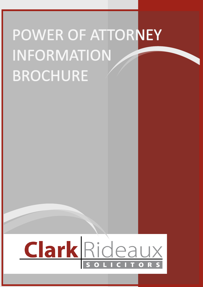# POWER OF ATTORNEY **INFORMATION BROCHURE**

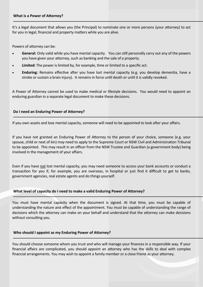It's a legal document that allows you (the Principal) to nominate one or more persons (your attorney) to act for you in legal, financial and property matters while you are alive.

Powers of attorney can be:

- **General:** Only valid while you have mental capacity. You can still personally carry out any of the powers you have given your attorney, such as banking and the sale of a property.
- **Limited:** The power is limited by, for example, time or limited to a specific act.
- **Enduring:** Remains effective after you have lost mental capacity (e.g. you develop dementia, have a stroke or sustain a brain injury). It remains in force until death or until it is validly revoked.

A Power of Attorney cannot be used to make medical or lifestyle decisions. You would need to appoint an enduring guardian in a separate legal document to make these decisions.

#### **Do I need an Enduring Power of Attorney?**

If you own assets and lose mental capacity, someone will need to be appointed to look after your affairs.

If you have not granted an Enduring Power of Attorney to the person of your choice, someone (e.g. your spouse, child or next of kin) may need to apply to the Supreme Court or NSW Civil and Administration Tribunal to be appointed. This may result in an officer from the NSW Trustee and Guardian (a government body) being involved in the management of your affairs.

Even if you have not lost mental capacity, you may need someone to access your bank accounts or conduct a transaction for you if, for example, you are overseas, in hospital or just find it difficult to get to banks, government agencies, real estate agents and do things yourself.

# **What level of capacity do I need to make a valid Enduring Power of Attorney?**

You must have mental capacity when the document is signed. At that time, you must be capable of understanding the nature and effect of the appointment. You must be capable of understanding the range of decisions which the attorney can make on your behalf and understand that the attorney can make decisions without consulting you.

# **Who should I appoint as my Enduring Power of Attorney?**

You should choose someone whom you trust and who will manage your finances in a responsible way. If your financial affairs are complicated, you should appoint an attorney who has the skills to deal with complex financial arrangements. You may wish to appoint a family member or a close friend as your attorney.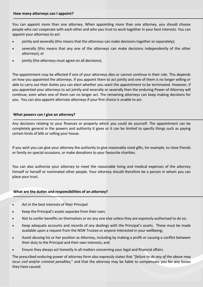You can appoint more than one attorney. When appointing more than one attorney, you should choose people who can cooperate with each other and who you trust to work together in your best interests. You can appoint your attorneys to act:

- jointly and severally (this means that the attorneys can make decisions together or separately);
- severally (this means that any one of the attorneys can make decisions independently of the other attorneys); or
- jointly (the attorneys must agree on all decisions).

The appointment may be affected if one of your attorneys dies or cannot continue in their role. This depends on how you appointed the attorneys. If you appoint them to act jointly and one of them is no longer willing or able to carry out their duties you can elect whether you want the appointment to be terminated. However, if you appointed your attorneys to act jointly and severally or severally then the enduring Power of Attorney will continue, even when one of them can no longer act. The remaining attorneys can keep making decisions for you. You can also appoint alternate attorneys if your first choice is unable to act.

# **What powers can I give an attorney?**

Any decisions relating to your finances or property which you could do yourself. The appointment can be completely general in the powers and authority it gives or it can be limited to specify things such as paying certain kinds of bills or selling your house.

If you wish you can give your attorney the authority to give reasonably sized gifts, for example, to close friends or family on special occasions, or make donations to your favourite charities.

You can also authorise your attorney to meet the reasonable living and medical expenses of the attorney himself or herself or nominated other people. Your attorney should therefore be a person in whom you can place your trust.

# **What are the duties and responsibilities of an attorney?**

- Act in the best interests of their Principal
- Keep the Principal's assets separate from their own;
- Not to confer benefits on themselves or on any one else unless they are expressly authorised to do so;
- Keep adequate accounts and records of any dealings with the Principal's assets. These must be made available upon a request from the NSW Trustee or anyone interested in your wellbeing;
- Avoid abusing his or her position as Attorney, including by making a profit or causing a conflict between their duty to the Principal and their own interests; and
- Ensure they always act honestly in all matters concerning your legal and financial affairs.

The prescribed enduring power of attorney form also expressly states that "*failure to do any of the above may incur civil and/or criminal penalties,*" and that the attorney may be liable to compensate you for any losses they have caused.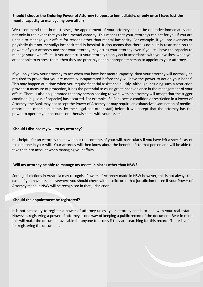# **Should I choose the Enduring Power of Attorney to operate immediately, or only once I have lost the mental capacity to manage my own affairs**

We recommend that, in most cases, the appointment of your attorney should be operative immediately and not only in the event that you lose mental capacity. This means that your attorneys can act for you if you are unable to manage your affairs for reasons other than mental incapacity. For example, if you are overseas or physically (but not mentally) incapacitated in hospital. It also means that there is no built in restriction on the powers of your attorney and that your attorney may act as your attorney even if you still have the capacity to manage your own affairs. If you don't trust your attorney to only act in accordance with your wishes, when you are not able to express them, then they are probably not an appropriate person to appoint as your attorney.

If you only allow your attorney to act when you have lost mental capacity, then your attorney will normally be required to prove that you are mentally incapacitated before they will have the power to act on your behalf. This may happen at a time when you require financial assistance quickly. Although including such a restriction provides a measure of protection, it has the potential to cause great inconvenience in the management of your affairs. There is also no guarantee that any person seeking to work with an attorney will accept that the trigger condition (e.g. loss of capacity) has occurred. For example, if a Bank sees a condition or restriction in a Power of Attorney, the Bank may not accept the Power of Attorney or may require an exhaustive examination of medical reports and other documents, by their legal and other staff, before it will accept that the attorney has the power to operate your accounts or otherwise deal with your assets.

# **Should I disclose my will to my attorney?**

It is helpful for an Attorney to know about the contents of your will, particularly if you have left a specific asset to someone in your will. Your attorney will then know about the benefit left to that person and will be able to take that into account when managing your affairs.

# **Will my attorney be able to manage my assets in places other than NSW?**

Some jurisdictions in Australia may recognise Powers of Attorney made in NSW however, this is not always the case. If you have assets elsewhere you should check with a solicitor in that jurisdiction to see if your Power of Attorney made in NSW will be recognised in that jurisdiction.

# **Should the appointment be registered?**

It is not necessary to register a power of attorney unless your attorney needs to deal with your real estate. However, registering a power of attorney is one way of keeping a public record of the document. Bear in mind this will make the document available for anyone to access if they are searching for this record. There is a fee for registering the document.